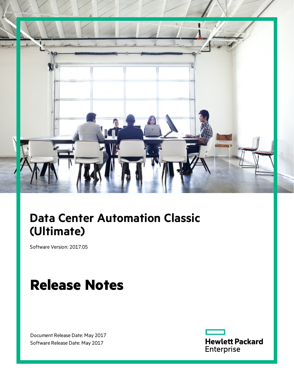

# **Data Center Automation Classic (Ultimate)**

Software Version: 2017.05

# **Release Notes**

Document Release Date: May 2017 Software Release Date: May 2017

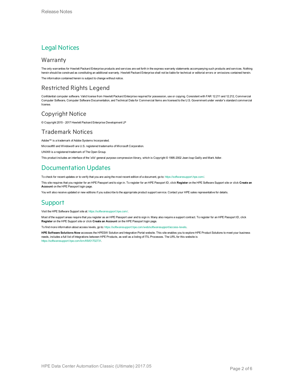### Legal Notices

#### **Warranty**

The only warranties for Hewlett Packard Enterprise products and services are set forth in the express warranty statements accompanying such products and services. Nothing herein should be construed as constituting an additional warranty. Hewlett Packard Enterprise shall not be liable for technical or editorial errors or omissions contained herein. The information contained herein is subject to change without notice.

#### Restricted Rights Legend

Confidential computer software. Valid license from Hewlett Packard Enterprise required for possession, use or copying. Consistent with FAR 12.211 and 12.212, Commercial Computer Software, Computer Software Documentation, and Technical Data for Commercial Items are licensed to the U.S. Government under vendor's standard commercial license.

#### Copyright Notice

© Copyright 2015 - 2017 Hewlett Packard Enterprise Development LP

#### Trademark Notices

Adobe™ is a trademark of Adobe Systems Incorporated.

Microsoft® and Windows® are U.S. registered trademarks of Microsoft Corporation.

UNIX® is a registered trademark of The Open Group.

This product includes an interface of the 'zlib' general purpose compression library, which is Copyright © 1995-2002 Jean-loup Gailly and Mark Adler.

### Documentation Updates

To check for recent updates or to verify that you are using the most recent edition of a document, go to: <https://softwaresupport.hpe.com/>.

This site requires that you register for an HPE Passport and to sign in. To register for an HPE Passport ID, click **Register** on the HPE Software Support site or click **Create an Account** on the HPE Passport login page.

You will also receive updated or new editions if you subscribe to the appropriate product support service. Contact your HPE sales representative for details.

#### Support

Visit the HPE Software Support site at: <https://softwaresupport.hpe.com/>.

Most of the support areas require that you register as an HPE Passport user and to sign in. Many also require a support contract. To register for an HPE Passport ID, click **Register** on the HPE Support site or click **Create an Account** on the HPE Passport login page.

To find more information about access levels, go to: <https://softwaresupport.hpe.com/web/softwaresupport/access-levels>.

**HPE Software Solutions Now** accesses the HPESW Solution and Integration Portal website. This site enables you to explore HPE Product Solutions to meet your business needs, includes a full list of Integrations between HPE Products, as well as a listing of ITIL Processes. The URL for this website is [https://softwaresupport.hpe.com/km/KM01702731.](https://softwaresupport.hpe.com/km/KM01702731)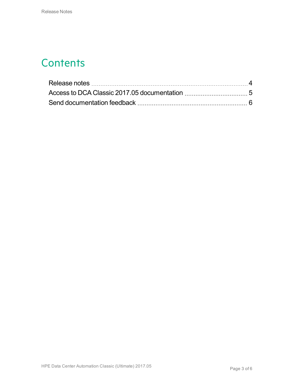### **Contents**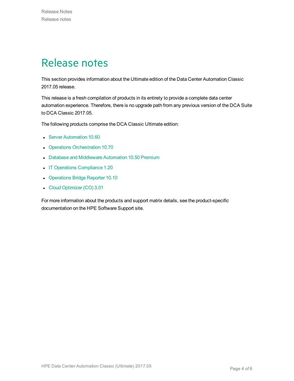### <span id="page-3-0"></span>Release notes

This section provides information about the Ultimate edition of the Data Center Automation Classic 2017.05 release.

This release is a fresh compilation of products in its entirety to provide a complete data center automation experience. Therefore, there is no upgrade path from any previous version of the DCA Suite to DCA Classic 2017.05.

The following products comprise the DCA Classic Ultimate edition:

- **.** Server [Automation](https://softwaresupport.hpe.com/km/KM02790390) 10.60
- Operations [Orchestration](https://softwaresupport.hpe.com/km/KM02518005) 10.70
- Database and [Middleware](https://softwaresupport.hpe.com/km/KM02364830) Automation 10.50 Premium
- IT Operations [Compliance](https://softwaresupport.hpe.com/km/KM02583928) 1.20
- [Operations](https://softwaresupport.hpe.com/km/KM02695559) Bridge Reporter 10.10
- Cloud [Optimizer](https://softwaresupport.hpe.com/km/KM02469453) (CO) 3.01

For more information about the products and support matrix details, see the product-specific documentation on the HPE Software Support site.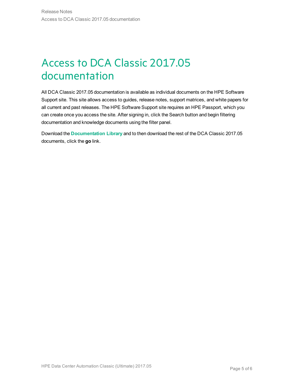# <span id="page-4-0"></span>Access to DCA Classic 2017.05 documentation

All DCA Classic 2017.05 documentation is available as individual documents on the HPE Software Support site. This site allows access to guides, release notes, support matrices, and white papers for all current and past releases. The HPE Software Support site requires an HPE Passport, which you can create once you access the site. After signing in, click the Search button and begin filtering documentation and knowledge documents using the filter panel.

Download the **[Documentation](https://softwaresupport.hpe.com/km/KM02710403) Library** and to then download the rest of the DCA Classic 2017.05 documents, click the **go** link.